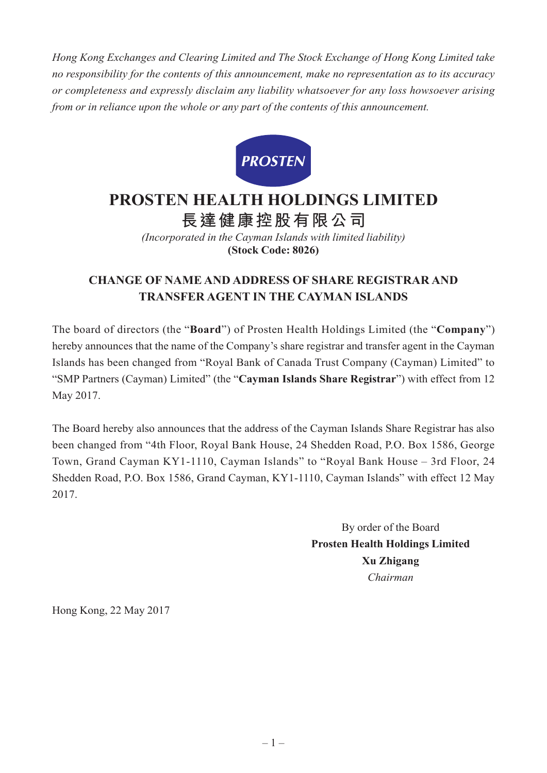*Hong Kong Exchanges and Clearing Limited and The Stock Exchange of Hong Kong Limited take no responsibility for the contents of this announcement, make no representation as to its accuracy or completeness and expressly disclaim any liability whatsoever for any loss howsoever arising from or in reliance upon the whole or any part of the contents of this announcement.*



## **PROSTEN HEALTH HOLDINGS LIMITED**

**長達健康控股有限公司**

*(Incorporated in the Cayman Islands with limited liability)* **(Stock Code: 8026)**

## **CHANGE OF NAME AND ADDRESS OF SHARE REGISTRAR AND TRANSFER AGENT IN THE CAYMAN ISLANDS**

The board of directors (the "**Board**") of Prosten Health Holdings Limited (the "**Company**") hereby announces that the name of the Company's share registrar and transfer agent in the Cayman Islands has been changed from "Royal Bank of Canada Trust Company (Cayman) Limited" to "SMP Partners (Cayman) Limited" (the "**Cayman Islands Share Registrar**") with effect from 12 May 2017.

The Board hereby also announces that the address of the Cayman Islands Share Registrar has also been changed from "4th Floor, Royal Bank House, 24 Shedden Road, P.O. Box 1586, George Town, Grand Cayman KY1-1110, Cayman Islands" to "Royal Bank House – 3rd Floor, 24 Shedden Road, P.O. Box 1586, Grand Cayman, KY1-1110, Cayman Islands" with effect 12 May 2017.

> By order of the Board **Prosten Health Holdings Limited Xu Zhigang** *Chairman*

Hong Kong, 22 May 2017